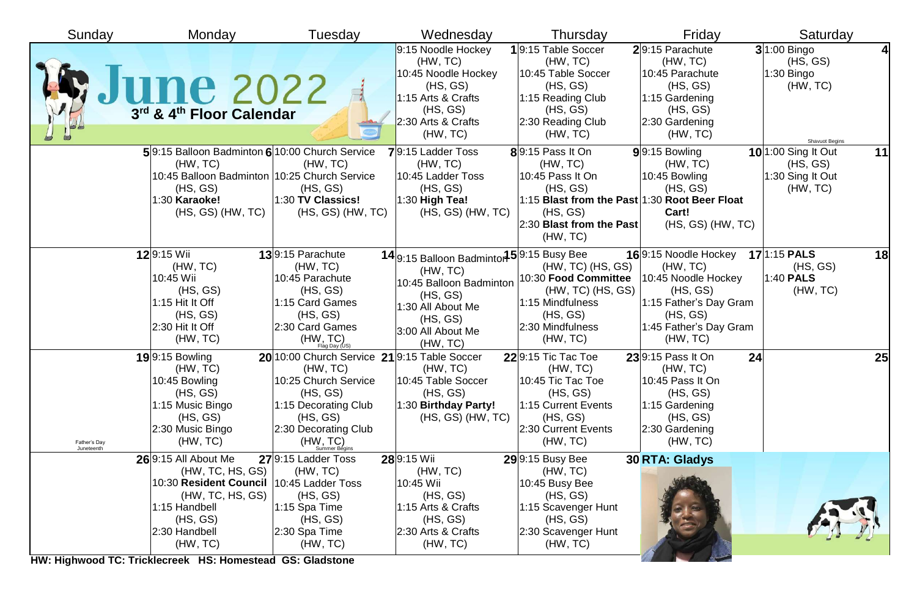| Sunday                     | Monday                                                                                                                                                            | Tuesday                                                                                                                                                                                 | Wednesday                                                                                                                                                      | Thursday                                                                                                                              | Friday                                                                                                                                                                 | Saturday                                                                             |
|----------------------------|-------------------------------------------------------------------------------------------------------------------------------------------------------------------|-----------------------------------------------------------------------------------------------------------------------------------------------------------------------------------------|----------------------------------------------------------------------------------------------------------------------------------------------------------------|---------------------------------------------------------------------------------------------------------------------------------------|------------------------------------------------------------------------------------------------------------------------------------------------------------------------|--------------------------------------------------------------------------------------|
|                            | We June 2022                                                                                                                                                      |                                                                                                                                                                                         | 9:15 Noodle Hockey<br>(HW, TC)<br>10:45 Noodle Hockey<br>(HS, GS)<br>1:15 Arts & Crafts<br>(HS, GS)<br>$2:30$ Arts & Crafts<br>(HW, TC)                        | 19:15 Table Soccer<br>(HW, TC)<br>10:45 Table Soccer<br>(HS, GS)<br>1:15 Reading Club<br>(HS, GS)<br>2:30 Reading Club<br>(HW, TC)    | 29:15 Parachute<br>(HW, TC)<br>10:45 Parachute<br>(HS, GS)<br>$1:15$ Gardening<br>(HS, GS)<br>2:30 Gardening<br>(HW, TC)                                               | $3 1:00$ Bingo<br>4<br>(HS, GS)<br>$1:30$ Bingo<br>(HW, TC)<br><b>Shavuot Begins</b> |
|                            | 5 9:15 Balloon Badminton 6 10:00 Church Service<br>(HW, TC)<br>10:45 Balloon Badminton 10:25 Church Service<br>(HS, GS)<br>1:30 Karaoke!<br>$(HS, GS)$ $(HW, TC)$ | (HW, TC)<br>(HS, GS)<br>$ 1:30$ TV Classics!<br>$(HS, GS)$ $(HW, TC)$                                                                                                                   | $79:15$ Ladder Toss<br>(HW, TC)<br>10:45 Ladder Toss<br>(HS, GS)<br>$ 1:30$ High Tea!<br>$(HS, GS)$ $(HW, TC)$                                                 | $8$  9:15 Pass It On<br>(HW, TC)<br>$10:45$ Pass It On<br>(HS, GS)<br>(HS, GS)<br>$ 2:30$ Blast from the Past<br>(HW, TC)             | $9$ <sup>9:15</sup> Bowling<br>(HW, TC)<br>$10:45$ Bowling<br>(HS, GS)<br>1:15 Blast from the Past 1:30 Root Beer Float<br>Cart!<br>$(HS, GS)$ $(HW, TC)$              | <b>10</b> 1:00 Sing It Out<br>11<br>(HS, GS)<br>1:30 Sing It Out<br>(HW, TC)         |
|                            | 129:15 Wii<br>(HW, TC)<br>10:45 Wii<br>(HS, GS)<br>1:15 Hit It Off<br>(HS, GS)<br>2:30 Hit It Off<br>(HW, TC)                                                     | 139:15 Parachute<br>(HW, TC)<br>10:45 Parachute<br>(HS, GS)<br>1:15 Card Games<br>(HS, GS)<br>2:30 Card Games<br>(HW, TC)                                                               | 14 9:15 Balloon Badminton 5 9:15 Busy Bee<br>(HW, TC)<br>10:45 Balloon Badminton<br>(HS, GS)<br>1:30 All About Me<br>(HS, GS)<br>3:00 All About Me<br>(HW, TC) | $(HW, TC)$ $(HS, GS)$<br>$(HW, TC)$ $(HS, GS)$<br>$ 1:15$ Mindfulness<br>(HS, GS)<br>2:30 Mindfulness<br>(HW, TC)                     | 169:15 Noodle Hockey<br>(HW, TC)<br>10:30 Food Committee   10:45 Noodle Hockey<br>(HS, GS)<br>1:15 Father's Day Gram<br>(HS, GS)<br>1:45 Father's Day Gram<br>(HW, TC) | <b>17</b> 1:15 PALS<br>18<br>(HS, GS)<br>$1:40$ PALS<br>(HW, TC)                     |
| Father's Day<br>Juneteenth | <b>19</b> 9:15 Bowling<br>(HW, TC)<br>10:45 Bowling<br>(HS, GS)<br>1:15 Music Bingo<br>(HS, GS)<br>2:30 Music Bingo<br>(HW, TC)                                   | 20 10:00 Church Service 21 9:15 Table Soccer<br>(HW, TC)<br>10:25 Church Service<br>(HS, GS)<br>1:15 Decorating Club<br>(HS, GS)<br>2:30 Decorating Club<br>$(HW, TC)$<br>Summer Begins | (HW, TC)<br>10:45 Table Soccer<br>(HS, GS)<br>1:30 Birthday Party!<br>$(HS, GS)$ $(HW, TC)$                                                                    | 229:15 Tic Tac Toe<br>(HW, TC)<br>10:45 Tic Tac Toe<br>(HS, GS)<br>1:15 Current Events<br>(HS, GS)<br>2:30 Current Events<br>(HW, TC) | $23$ 9:15 Pass It On<br>(HW, TC)<br>10:45 Pass It On<br>(HS, GS)<br>1:15 Gardening<br>(HS, GS)<br>2:30 Gardening<br>(HW, TC)                                           | 25<br>24                                                                             |
|                            | 269:15 All About Me<br>(HW, TC, HS, GS)<br>10:30 Resident Council<br>(HW, TC, HS, GS)<br>1:15 Handbell<br>(HS, GS)<br>2:30 Handbell                               | 279:15 Ladder Toss<br>(HW, TC)<br>10:45 Ladder Toss<br>(HS, GS)<br>1:15 Spa Time<br>(HS, GS)<br>$2:30$ Spa Time                                                                         | 289:15 Wii<br>(HW, TC)<br>10:45 Wii<br>(HS, GS)<br>1:15 Arts & Crafts<br>(HS, GS)<br>$ 2:30$ Arts & Crafts                                                     | $29$ <sup>9:15</sup> Busy Bee<br>(HW, TC)<br>10:45 Busy Bee<br>(HS, GS)<br>1:15 Scavenger Hunt<br>(HS, GS)<br>2:30 Scavenger Hunt     | 30 RTA: Gladys                                                                                                                                                         |                                                                                      |
|                            | (HW, TC)<br>HW: Highwood TC: Tricklecreek HS: Homestead GS: Gladstone                                                                                             | (HW, TC)                                                                                                                                                                                | (HW, TC)                                                                                                                                                       | (HW, TC)                                                                                                                              |                                                                                                                                                                        |                                                                                      |

**HW: Highwood TC: Tricklecreek HS: Homestead GS: Gladstone**